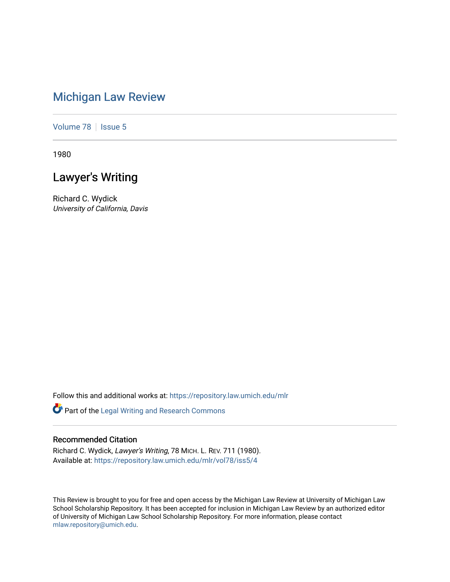# [Michigan Law Review](https://repository.law.umich.edu/mlr)

[Volume 78](https://repository.law.umich.edu/mlr/vol78) | [Issue 5](https://repository.law.umich.edu/mlr/vol78/iss5)

1980

# Lawyer's Writing

Richard C. Wydick University of California, Davis

Follow this and additional works at: [https://repository.law.umich.edu/mlr](https://repository.law.umich.edu/mlr?utm_source=repository.law.umich.edu%2Fmlr%2Fvol78%2Fiss5%2F4&utm_medium=PDF&utm_campaign=PDFCoverPages) 

Part of the [Legal Writing and Research Commons](http://network.bepress.com/hgg/discipline/614?utm_source=repository.law.umich.edu%2Fmlr%2Fvol78%2Fiss5%2F4&utm_medium=PDF&utm_campaign=PDFCoverPages) 

# Recommended Citation

Richard C. Wydick, Lawyer's Writing, 78 MICH. L. REV. 711 (1980). Available at: [https://repository.law.umich.edu/mlr/vol78/iss5/4](https://repository.law.umich.edu/mlr/vol78/iss5/4?utm_source=repository.law.umich.edu%2Fmlr%2Fvol78%2Fiss5%2F4&utm_medium=PDF&utm_campaign=PDFCoverPages)

This Review is brought to you for free and open access by the Michigan Law Review at University of Michigan Law School Scholarship Repository. It has been accepted for inclusion in Michigan Law Review by an authorized editor of University of Michigan Law School Scholarship Repository. For more information, please contact [mlaw.repository@umich.edu.](mailto:mlaw.repository@umich.edu)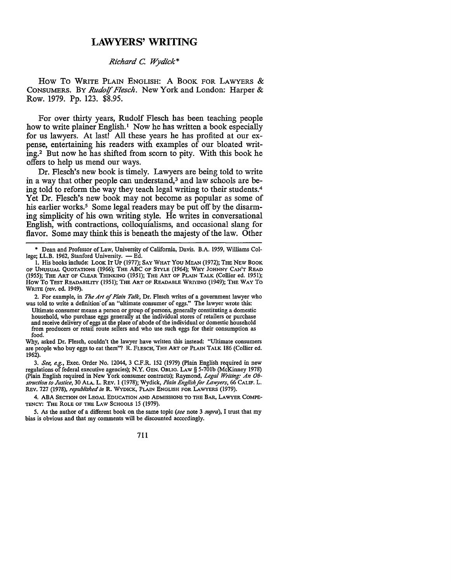# **LAWYERS' WRITING**

## *Richard* C *'Wydick\**

How To WRITE PLAIN ENGLISH: A BOOK FOR LAWYERS  $&$ CONSUMERS. BY *Rudo!f Flesch.* New York and London: Harper & Row. 1979. Pp. 123. \$8.95.

For over thirty years, Rudolf Flesch has been teaching people how to write plainer English.<sup>1</sup> Now he has written a book especially for us lawyers. At last! All these years he has profited at our expense, entertaining his readers with examples of our bloated writing.2 But now he has shifted from scorn to pity. With this book he offers to help us mend our ways.

Dr. Flesch's new book is timely. Lawyers are being told to write in a way that other people can understand,<sup>3</sup> and law schools are being told to reform the way they teach legal writing to their students.<sup>4</sup> Yet Dr. Flesch's new book may not become as popular as some of his earlier works.<sup>5</sup> Some legal readers may be put off by the disarming simplicity of his own writing style. He writes in conversational English, with contractions, colloquialisms, and occasional slang for flavor. Some may think this is beneath the majesty of the law. Other

4. ABA SECTION ON LEGAL EDUCATION AND ADMISSIONS TO THE BAR, LAWYER COMPE-TENCY: THE ROLE OF THE LAW SCHOOLS 15 (1979).

5. As the author of a different book on the same topic *(see* note 3 *supra),* I trust that my bias is obvious and that my comments will be discounted accordingly.

711

<sup>•</sup> Dean and Professor of Law, University of California, Davis. B.A. 1959, Williams College; LL.B. 1962, Stanford University. - Ed.

<sup>1.</sup> His books include: LOOK IT UP (1977); SAY WHAT YOU MEAN (1972); THE NEW BOOK OF UNUSUAL QUOTATIONS (1966); THE ABC OF STYLE (1964); WHY JOHNNY CAN'T READ (1955); THE ART OF CLEAR THINKING (1951); THE ART OF PLAIN TALK (Collier ed. 1951); How To Test Readability (1951); The Art of Readable Writing (1949); The Way To WRITE (rev. ed. 1949).

<sup>2.</sup> For example, in *The Art of Plain Talk,* Dr. Flesch writes of a government lawyer who was told to write a definition of an "ultimate consumer of eggs." The lawyer wrote this:

Ultimate consumer means a person or group of persons, generally constituting a domestic household, who purchase eggs generally at the individual stores of retailers or purchase and receive delivery of eggs at the place of abode of the individual or domestic household from producers or retail route sellers and who use such eggs for their consumption as food.

Why, asked Dr. Flesch, couldn't the lawyer have written this instead: "Ultimate consumers are people who buy eggs to eat them"? R. FLESCH, THE ART OF PLAIN TALK 186 (Collier ed. 1962).

<sup>3.</sup> *See, e.g.,* Exec. Order No. 12044, 3 C.F.R. 152 (1979) (Plain English required in new regulations of federal executive agencies); **N.Y.** GEN. OBLIG. LAW§ 5-701b (McKinney 1978) (Plain English required in New York consumer contracts); Raymond, *Legal Writing.· An Obstruction to Justice,* 30 ALA. L. REV. 1 (1978); Wydick, *Plain English for Lawyers,* 66 CALIF. L. REV. 727 (1978), *republished in* **R.** WYDICK, PLAIN ENGLISH FOR LAWYERS (1979).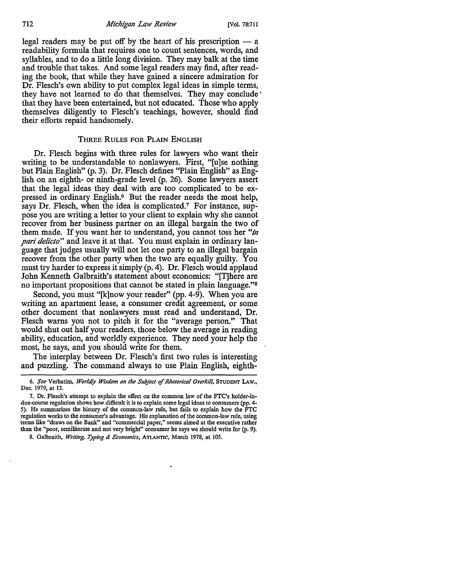712 *Michigan Law Review* [Vol. 78:711

legal readers may be put off by the heart of his prescription  $- a$ readability formula that requires one to count sentences, words, and syllables, and to do a little long division. They may balk at the time and trouble that takes. And some legal readers may find, after reading the book, that while they have gained a sincere admiration for Dr. Flesch's own ability to put complex legal ideas in simple terms, they have not learned to do that themselves. They may conclude ' that they have been entertained, but not educated. Those who apply themselves diligently to Flesch's teachings, however, should find their efforts repaid handsomely.

#### THREE RULES FOR PLAIN ENGLISH

Dr. Flesch begins with three rules for lawyers who want their writing to be understandable to nonlawyers. First, "[u]se nothing but Plain English" (p. 3). Dr. Flesch defines "Plain English" as English on an eighth- or ninth-grade level (p. 26). Some lawyers assert that the legal ideas they deal with are too complicated to be expressed in ordinary English.<sup>6</sup> But the reader needs the most help, says Dr. Flesch, when the idea is complicated.7 For instance, suppose you are writing a letter to your client to explain why she cannot recover from her business partner on an illegal bargain the two of them made. If you want her to understand, you cannot toss her *"in pari delicto"* and leave it at that. You must explain in ordinary language that judges usually will not let one party to an illegal bargain recover from the other party when the two are equally guilty. You must try harder to express it simply (p. 4). Dr. Flesch would applaud John Kenneth Galbraith's statement about economics: "[T]here are no important propositions that cannot be stated in plain language."<sup>8</sup>

Second, you must "[k]now your reader" (pp. 4-9). When you are writing an apartment lease, a consumer credit agreement, or some other document that nonlawyers must read and understand, Dr. Flesch warns you not to pitch it for the "average person." That . would shut out half your readers, those below the average in reading ability, education, and worldly experience. They need your help the most, he says, and you should write for them.

The interplay between Dr. Flesch's first two rules is interesting and puzzling. The command always to use Plain English, eighth-

<sup>6.</sup> *See* Verbatim, *Worldly Wisdom on the Subject of Rhetorical Overkill,* STUDENT LAW., Dec. 1979, at 13.

<sup>7.</sup> Dr. Flesch's attempt to explain the effect on the common law of the FTC's holder-indue-course regulation shows how difficult it is to explain some legal ideas to consumers (pp. 4- 5). He summarizes the history of the common-law rule, but fails to explain how the  $\hat{F}TC$ regulation works to the consumer's advantage. His explanation of the common-law rule, using terms like "draws on the Bank" and "commercial paper," seems aimed at the executive rather than the "poor, semiliterate and not very bright" consumer he says we should write for (p. 9).

<sup>8.</sup> Galbraith, *Writing, Typing & Economics,* ATLANTIC, March 1978, at 105.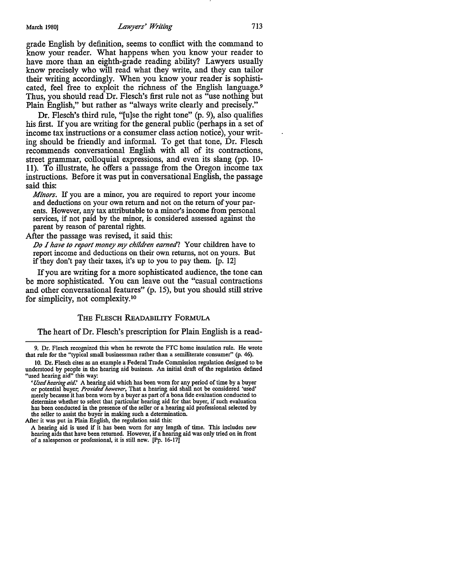grade English by definition, seems to conflict with the command to know your reader. What happens when you know your reader to have more than an eighth-grade reading ability? Lawyers usually know precisely who will read what they write, and they can tailor their writing accordingly. When you know your reader is sophisticated, feel free to exploit the richness of the English language.<sup>9</sup> Thus, you should read Dr. Flesch's first rule not as "use nothing but Plain English," but rather as "always write clearly and precisely."

Dr. Flesch's third rule, "[u]se the right tone" (p. 9), also qualifies his first. If you are writing for the general public (perhaps in a set of income tax instructions or a consumer class action notice), your writing should be friendly and informal. To get that tone, Dr. Flesch recommends conversational English with all of its contractions, street grammar, colloquial expressions, and even its slang (pp. 10- 11 ). To illustrate, he offers a passage from the Oregon income tax instructions. Before it was put in conversational English, the passage said this:

*Minors.* If you are a minor, you are required to report your income and deductions on your own return and not on the return of your parents. However, any tax attributable to a minor's income from personal services, if not paid by the minor, is considered assessed against the parent by reason of parental rights.

After the passage was revised, it said this:

*.Do I have to report money my children earned?* Your children have to report income and deductions on their own returns, not on yours. But if they don't pay their taxes, it's up to you to pay them. [p. 12]

If you are writing for a more sophisticated audience, the tone can be more sophisticated. You can leave out the "casual contractions and other conversational features" (p. 15), but you should still strive for simplicity, not complexity. <sup>10</sup>

#### **THE FLESCH READABILITY FORMULA**

The heart of Dr. Flesch's prescription for Plain English is a read-

9. Dr. Flesch recognized this when he rewrote the FTC home insulation rule. He wrote that rule for the "typical small businessman rather than a semiliterate consumer" (p. 46).

After it was put in Plain English, the regulation said this:

A hearing aid is used if it has been worn for any length of time. This includes new hearing aids that have been returned. However, if a hearing aid was only tried on in front of a salesperson or professional, it is still new. [Pp. 16-17]

IO. Dr. Flesch cites as an example a Federal Trade Commission regulation designed to be understood by people in the hearing aid business. An initial draft of the regulation defined "used hearing aid" this way:

*<sup>&#</sup>x27;Used hearing aid.'* A hearing aid which has been worn for any period of time by a buyer or potential buyer; *Provided however,* That a hearing aid shall not be considered 'used' merely because it has been worn by a buyer as part of a bona fide evaluation conducted to determine whether to select that particular hearing aid for that buyer, if such evaluation has been conducted in the presence of the seller or a hearing aid professional selected by the seller to assist the buyer in making such a determination.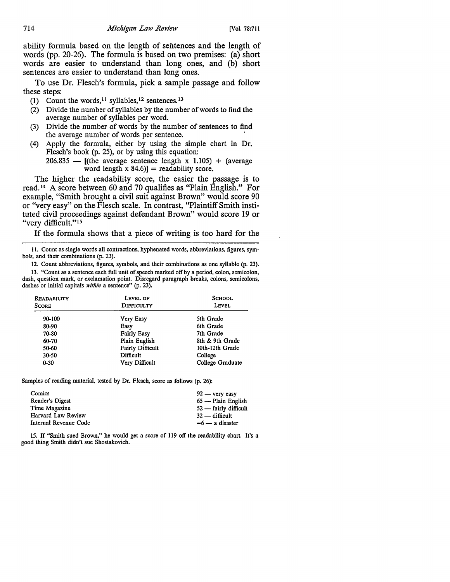ability formula based on the length of sentences and the length of words (pp. 20-26). The formula is based on two premises: (a) short words are easier to understand than long ones, and (b) short sentences are easier to understand than long ones.

To use Dr. Flesch's formula, pick a sample passage and follow these steps:

- (1) Count the words, 11 syllables, 12 sentences. <sup>13</sup>
- (2) Divide the number of syllables by the number of words to find the average number of syllables per word.
- (3) Divide the number of words by the number of sentences to find the average number of words per sentence.
- ( 4) Apply the formula, either by using the simple chart in Dr. Flesch's book (p. 25), or by using this equation:

 $206.835$  - [(the average sentence length x 1.105) + (average word length  $x$  84.6)] = readability score.

The higher the readability score, the easier the passage is to read. 14 A score between 60 and 70 qualifies as "Plain English." For example, "Smith brought a civil suit against Brown" would score 90 or ''very easy" on the Flesch scale. In contrast, "Plaintiff Smith instituted civil proceedings against defendant Brown" would score 19 or "very difficult."<sup>15</sup>

If the formula shows that a piece of writing is too hard for the

11. Count as single words all contractions, hyphenated words, abbreviations, figures, symbols, and their combinations (p. 23).

12. Count abbreviations, figures, symbols, and their combinations as one syllable (p. 23). 13. "Count as a sentence each full unit of speech marked off by a period, colon, semicolon, dash, question mark, or exclamation point. Disregard paragraph breaks, colons, semicolons, dashes or initial capitals *within* a sentence" (p. 23).

| <b>READABILITY</b><br><b>SCORE</b> | LEVEL OF<br><b>DIFFICULTY</b> | <b>SCHOOL</b><br>LEVEL |
|------------------------------------|-------------------------------|------------------------|
| 90-100                             | Very Easy                     | 5th Grade              |
| 80-90                              | Easy                          | 6th Grade              |
| 70-80                              | <b>Fairly Easy</b>            | 7th Grade              |
| 60-70                              | Plain English                 | 8th & 9th Grade        |
| 50-60                              | <b>Fairly Difficult</b>       | 10th-12th Grade        |
| 30-50                              | Difficult                     | College                |
| $0 - 30$                           | Very Difficult                | College Graduate       |

Samples of reading material, tested by Dr. Flesch, score as follows (p. 26):

| Comics                | $92 - \text{very easy}$ |
|-----------------------|-------------------------|
| Reader's Digest       | $65$ — Plain English    |
| Time Magazine         | $52$ — fairly difficult |
| Harvard Law Review    | $32$ — difficult        |
| Internal Revenue Code | $-6$ — a disaster       |

15. If "Smith sued Brown," he would get a score of 119 off the readability chart. It's a good thing Smith didn't sue Shostakovich.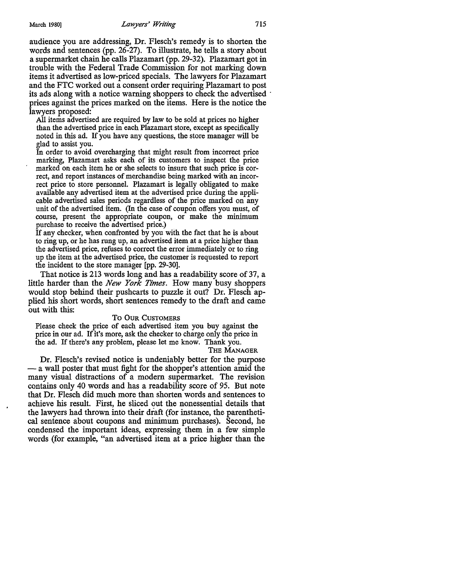audience you are addressing, Dr. Flesch's remedy is to shorten the words and sentences (pp. 26-27). To illustrate, he tells a story about a supermarket chain he calls Plazamart (pp. 29-32). Plazamart got in trouble with the Federal Trade Commission for not marking down items it advertised as low-priced specials. The lawyers for Plazamart and the FTC worked out a consent order requiring Plazamart to post its ads along with a notice warning shoppers to check the advertised prices against the prices marked on the items. Here is the notice the lawyers proposed:

All items advertised are required by law to be sold at prices no higher than the advertised price in each Plazamart store, except as specifically noted in this ad. If you have any questions, the store manager will be glad to assist you.

In order to avoid overcharging that might result from incorrect price marking, Plazamart asks each of its customers to inspect the price marked on each item he or she selects to insure that such price is correct, and report instances of merchandise being marked with an incorrect price to store personnel. Plazamart is legally obligated to make available any advertised item at the advertised price during the applicable advertised sales periods regardless of the price marked on any unit of the advertised item. (In the case of coupon offers you must, of course, present the appropriate coupon, or make the minimum purchase to receive the advertised price.)

If any checker, when confronted by you with the fact that he is about to ring up, or he has rung up, an advertised item at a price higher than the advertised price, refuses to correct the error immediately or to ring up the item at the advertised price, the customer is requested to report the incident to the store manager [pp. 29-30].

That notice is 213 words long and has a readability score of 37, a little harder than the *New York Times.* How many busy shoppers would stop behind their pushcarts to puzzle it out? Dr. Flesch applied his short words, short sentences remedy to the draft and came out with this:

### **To OUR CUSTOMERS**

Please check the price of each advertised item you buy against the price in our ad. If it's more, ask the checker to charge only the price in the ad. If there's any problem, please let me know. Thank you.

THE **MANAGER** 

Dr. Flesch's revised notice is undeniably better for the purpose - a wall poster that must fight for the shopper's attention amid the many visual distractions of a modem supermarket. The revision contains only 40 words and has a readability score of 95. But note that Dr. Flesch did much more than shorten words and sentences to achieve his result. First, he sliced out the nonessential details that the lawyers had thrown into their draft (for instance, the parenthetical sentence about coupons and minimum purchases). Second, he condensed the important ideas, expressing them in a few simple words (for example, "an advertised item at a price higher than the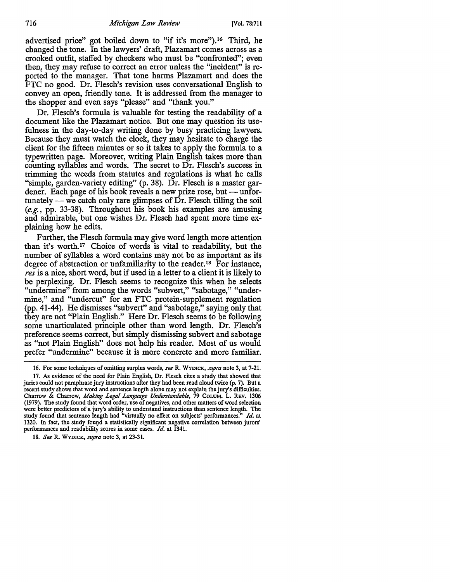advertised price" got boiled down to "if it's more"). 16 Third, he changed the tone. In the lawyers' draft, Plazamart comes across as a crooked outfit, staffed by checkers who must be "confronted"; even then, they may refuse to correct an error unless the "incident" is reported to the manager. That tone harms Plazamart and does the FTC no good. Dr. Flesch's revision uses conversational English to convey an open, friendly tone. It is addressed from the manager to the shopper and even says "please" and "thank you."

Dr. Flesch's formula is valuable for testing the readability of a document like the Plazamart notice. But one may question its usefulness in the day-to-day writing done by busy practicing lawyers. Because they must watch the clock, they may hesitate to charge the client for the fifteen minutes or so it takes to apply the formula to a typewritten page. Moreover, writing Plain English takes more than counting syllables and words. The secret to Dr. Flesch's success in trimming the weeds from statutes and regulations is what he calls "simple, garden-variety editing" (p. 38). Dr. Flesch is a master gardener. Each page of his book reveals a new prize rose, but - unfortunately — we catch only rare glimpses of  $\overline{Dr}$ . Flesch tilling the soil (e.g., pp. 33-38). Throughout his book his examples are amusing and admirable, but one wishes Dr. Flesch had spent more time explaining how he edits.

Further, the Flesch formula may give word length more attention than it's worth.17 Choice of words is vital to readability, but the number of syllables a word contains may not be as important as its degree of abstraction or unfamiliarity to the reader. 18 For instance, *res* is a nice, short word, but if used in a letter to a client it is likely to be perplexing. Dr. Flesch seems to recognize this when he selects "undermine" from among the words "subvert," "sabotage," "undermine," and "undercut" for an FTC protein-supplement regulation (pp. 41-44). He dismisses "subvert" and "sabotage," saying only that they are not "Plain English." Here Dr. Flesch seems to be following some unarticulated principle other than word length. Dr. Flesch's preference seems correct, but simply dismissing subvert and sabotage as "not Plain English" does not help his reader. Most of us would prefer "undermine" because it is more concrete and more familiar.

<sup>16.</sup> For some techniques of omitting surplus words, *see* R. WYDICK, *supra* note 3, at 7-21.

<sup>17.</sup> As evidence of the need for Plain English, Dr. Flesch cites a study that showed that juries could not paraphrase jury instructions after they had been read aloud twice (p. 7). But a recent study shows that word and sentence length alone may not explain the jury's difficulties, Charrow & Charrow, *Making Legal Language Understandable,* 79 CoLUM. L. REV, 1306 (1979). The study found that word order, use of negatives, and other matters of word selection were better predictors of a jury's ability to understand instructions than sentence length. The study found that sentence length had "virtually no effect on subjects' performances." *Id.* at 1320. In fact, the study found a statistically significant negative correlation between jurors' performances and readability scores in some cases. *Id.* at 1341.

<sup>18.</sup> *See* R. WYDICK, *supra* note 3, at 23-31.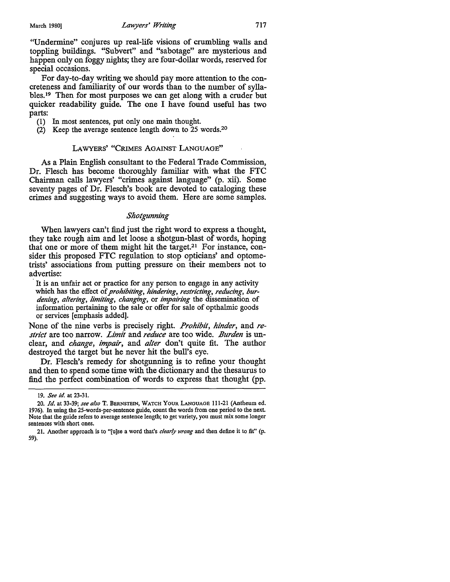''Undermine" conjures up real-life visions of crumbling walls and toppling buildings. "Subvert" and "sabotage" are mysterious and happen only on foggy nights; they are four-dollar words, reserved for special occasions.

For day-to-day writing we should pay more attention to the concreteness and familiarity of our words than to the number of syllables.19 Then for most purposes we can get along with a cruder but quicker readability guide. The one I have found useful has two parts:

- (1) In most sentences, put only one main thought.
- (2) Keep the average sentence length down to 25 words.20

#### LAWYERS' "CRIMES AGAINST LANGUAGE"

As a Plain English consultant to the Federal Trade Commission, Dr. Flesch has become thoroughly familiar with what the FTC Chairman calls lawyers' "crimes against language" (p. xii). Some seventy pages of Dr. Flesch's book are devoted to cataloging these crimes and suggesting ways to avoid them. Here are some samples.

#### *Shotgunning*

When lawyers can't find just the right word to express a thought, they take rough aim and let loose a shotgun-blast of words, hoping that one or more of them might hit the target.<sup>21</sup> For instance, consider this proposed FTC regulation to stop opticians' and optometrists' associations from putting pressure on their members not to advertise:

It is an unfair act or practice for any person to engage in any activity which has the effect of *prohibiting, hindering, restricting, reducing, burdening, altering, limiting, changing,* or *impairing* the dissemination of information pertaining to the sale or offer for sale of opthalmic goods or services [emphasis added].

None of the nine verbs is precisely right. *Prohibit, hinder,* and *restrict* are too narrow. *Limit* and *reduce* are too wide. *Burden* is unclear, and *change, impair,* and *alter* don't quite fit. The author destroyed the target but he never hit the bull's eye.

Dr. Flesch's remedy for shotgunning is to refine your thought and then to spend some time with the dictionary and the thesaurus to find the perfect combination of words to express that thought (pp.

<sup>19.</sup> *See id.* at 23-31.

<sup>20.</sup> *Id.* at 33-39; *see also* T. BERNSTEIN, WATCH YOUR LANGUAGE 111-21 (Antheum ed. 1976). In using the 25-words-per-sentence guide, count the words from one period to the next. Note that the guide refers to average sentence length; to get variety, you must mix some longer sentences with short ones.

<sup>21.</sup> Another approach is to "[u]se a word that's *clearly wrong* and then define it to fit" (p. 59).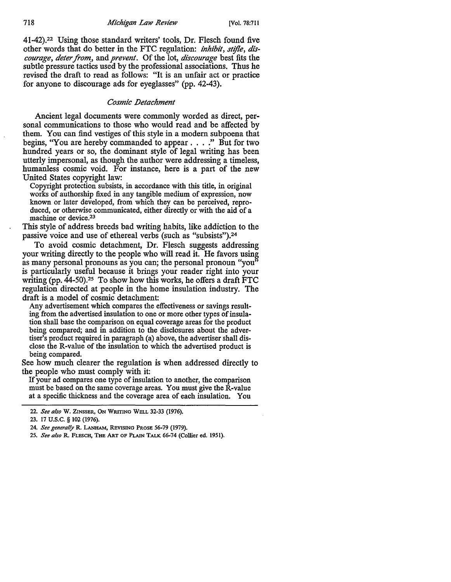41-42).22 Using those standard writers' tools, Dr. Flesch found five other words that do better in the FTC regulation: *inhibit, stf/le, discourage, deter from,,* and *prevent.* Of the lot, *discourage* best fits the subtle pressure tactics used by the professional associations. Thus he revised the draft to read as follows: "It is an unfair act or practice for anyone to discourage ads for eyeglasses" (pp. 42-43).

## *Cosmic .Detachment*

Ancient legal documents were commonly worded as direct, personal communications to those who would read and be affected by them. You can find vestiges of this style in a modem subpoena that begins, ''You are hereby commanded to appear . . . ." But for two hundred years or so, the dominant style of legal writing has been utterly impersonal, as though the author were addressing a timeless, humanless cosmic void. For instance, here is a part of the new United States copyright law:

Copyright protection subsists, in accordance with this **title,** in original works of authorship fixed in any tangible medium of expression, now known or later developed, from which they can be perceived, reproduced, or otherwise communicated, either directly or with the aid of a machine or device.23

This style of address breeds bad writing habits, like addiction to the passive voice and use of ethereal verbs (such as "subsists").24

To avoid cosmic detachment, Dr. Flesch suggests addressing your writing directly to the people who will read it. He favors using as many personal pronouns as you can; the personal pronoun "you" is particularly useful because it brings your reader right into your writing (pp.  $44-50$ ).<sup>25</sup> To show how this works, he offers a draft FTC regulation directed at people in the home insulation industry. The draft is a model of cosmic detachment:

Any advertisement which compares the effectiveness or savings resulting from the advertised insulation to one or more other types of insulation shall base the comparison on equal coverage areas for the product being compared; and in addition to the disclosures about the advertiser's product required in paragraph (a) above, the advertiser shall disclose the R-value of the insulation to which the advertised product is being compared.

See how much clearer the regulation is when addressed directly to the people who must comply with it:

If your ad compares one type of insulation to another, the comparison must be based on the same coverage areas. You must give the R-value at a specific thickness and the coverage area of each insulation. You

<sup>22.</sup> *See also* w. ZINSSER, ON WRITING WELL 32-33 (1976).

<sup>23. 17</sup> U.S.C. § 102 (1976).

<sup>24.</sup> *See generally* R. LANHAM, REVISING PROSE 56-79 (1979).

<sup>25.</sup> *See also* R. FLESCH, THE ART OF PLAIN TALK 66-74 (Collier ed. 1951).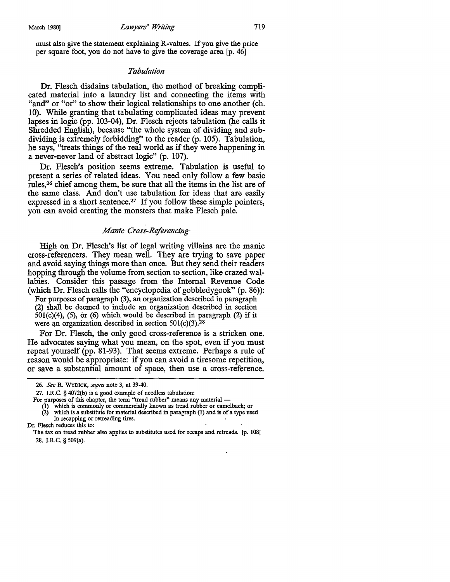must also give the statement explaining R-values. If you give the price per square foot, you do not have to give the coverage area [p. 46]

#### *Tabulation*

Dr. Flesch disdains tabulation, the method of breaking complicated material into a laundry list and connecting the items with "and" or "or" to show their logical relationships to one another (ch. 10). While granting that tabulating complicated ideas may prevent lapses in logic (pp. 103-04), Dr. Flesch rejects tabulation (he calls it Shredded English), because "the whole system of dividing and subdividing is extremely forbidding" to the reader (p. 105). Tabulation, he says, ''treats things of the real world as if they were happening in a never-never land of abstract logic" (p. 107).

Dr. Flesch's position seems extreme. Tabulation is useful to present a series of related ideas. You need only follow a few basic rules,26 chief among them, be sure that all the items in the list are of the same class. And don't use tabulation for ideas that are easily expressed in a short sentence.27 If you follow these simple pointers, you can avoid creating the monsters that make Flesch pale.

#### *Manic Cross-Referencing·*

High on Dr. Flesch's list of legal writing villains are the manic cross-referencers. They mean well. They are trying to save paper and avoid saying things more than once. But they send their readers hopping through the volume from section to section, like crazed wallabies. Consider this passage from the Internal Revenue Code (which Dr. Flesch calls the "encyclopedia of gobbledygook" (p. 86)):

For purposes of paragraph (3), an organization described in paragraph (2) shall be deemed to include an organization described in section  $501(c)(4)$ , (5), or (6) which would be described in paragraph (2) if it were an organization described in section  $501(c)(3).^{28}$ 

For Dr. Flesch, the only good cross-reference is a stricken one. He advocates saying what you mean, on the spot, even if you must repeat yourself (pp. 81-93). That seems extreme. Perhaps a rule of reason would be appropriate: if you can avoid a tiresome repetition, or save a substantial amount of space, then use a cross-reference.

<sup>26.</sup> *See* R. WYDICK, *supra* note 3, at 39-40.

<sup>27.</sup> I.R.C. § 4072(b) is a good example of needless tabulation:

For purposes of this chapter, the term "tread rubber'' means any material -

<sup>(1)</sup> which is commonly or commercially known as tread rubber or camelback; or (2) which is a substitute for material described in paragraph (1) and is of a type used in recapping or retreading tires.

Dr. Flesch reduces this to:

The tax on tread rubber also applies to substitutes used for recaps and retreads. [p. 108] 28. I.R.C. § 509(a).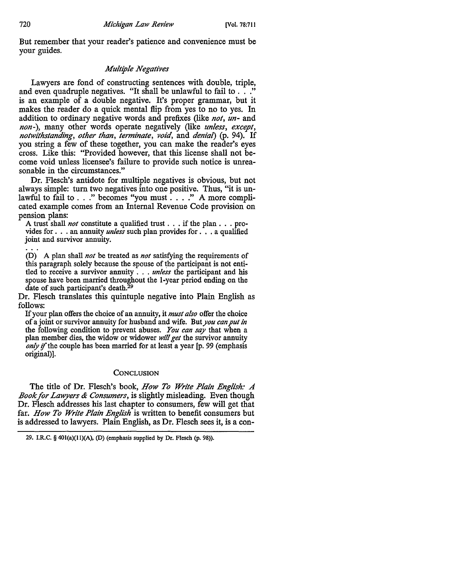But remember that your reader's patience and convenience must be your guides.

# *Multiple Negatives*

Lawyers are fond of constructing sentences with double, triple, and even quadruple negatives. "It shall be unlawful to fail to . . ." is an example of a double negative. It's proper grammar, but it makes the reader do a quick mental flip from yes to no to yes. In addition to ordinary negative words and prefixes (like *not, un-* and *non-),* many other words operate negatively (like *unless, except, notwithstanding, other than, terminate, void,* and *denial)* (p. 94). If you string a few of these together, you can make the reader's eyes cross. Like this: "Provided however, that this license shall not become void unless licensee's failure to provide such notice is unreasonable in the circumstances."

Dr. Flesch's antidote for multiple negatives is obvious, but not always simple: tum two negatives into one positive. Thus, "it is unlawful to fail to . . ." becomes "you must . . . ." A more complicated example comes from an Internal Revenue Code provision on pension plans:

A trust shall *not* constitute a qualified trust . . . if the plan . . . provides for . . . an annuity *unless* such plan provides for . . . a qualified joint and survivor annuity.

(D) A plan shall *not* be treated as *not* satisfying the requirements of this paragraph solely because the spouse of the participant is not entitled to receive a survivor annuity . . . *unless* the participant and his spouse have been married throughout the I-year period ending on the date of such participant's death.<sup>29</sup>

Dr. Flesch translates this quintuple negative into Plain English as follows:

If your plan offers the choice of an annuity, it *must also* offer the choice of a joint or survivor annuity for husband and wife. But *you can put in*  the following condition to prevent abuses. *You can say* that when a plan member dies, the widow or widower *will get* the survivor annuity *only* if the couple has been married for at least a year [p. 99 (emphasis original)].

# **CONCLUSION**

The title of Dr. Flesch's book, *How To Write Plain English: A Book for Lawyers & Consumers,* is slightly misleading. Even though Dr. Flesch addresses his last chapter to consumers, few will get that far. *How To Write Plain English* is written to benefit consumers but is addressed to lawyers. Plain English, as Dr. Flesch sees it, is a con-

<sup>29.</sup> I.R.C. § 40I(a)(ll)(A), (D) (emphasis supplied by Dr. Flesch (p. 98)).